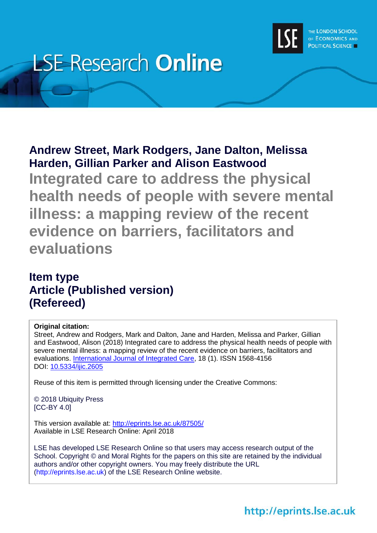

# **LSE Research Online**

## **Andrew Street, Mark Rodgers, Jane Dalton, Melissa Harden, Gillian Parker and Alison Eastwood**

**Integrated care to address the physical health needs of people with severe mental illness: a mapping review of the recent evidence on barriers, facilitators and evaluations**

## **Item type Article (Published version) (Refereed)**

## **Original citation:**

Street, Andrew and Rodgers, Mark and Dalton, Jane and Harden, Melissa and Parker, Gillian and Eastwood, Alison (2018) Integrated care to address the physical health needs of people with severe mental illness: a mapping review of the recent evidence on barriers, facilitators and evaluations. [International Journal of Integrated Care,](https://www.ijic.org/) 18 (1). ISSN 1568-4156 DOI: [10.5334/ijic.2605](http://doi.org/10.5334/ijic.2605)

Reuse of this item is permitted through licensing under the Creative Commons:

© 2018 Ubiquity Press [CC-BY 4.0]

This version available at: <http://eprints.lse.ac.uk/87505/> Available in LSE Research Online: April 2018

LSE has developed LSE Research Online so that users may access research output of the School. Copyright © and Moral Rights for the papers on this site are retained by the individual authors and/or other copyright owners. You may freely distribute the URL (http://eprints.lse.ac.uk) of the LSE Research Online website.

## http://eprints.lse.ac.uk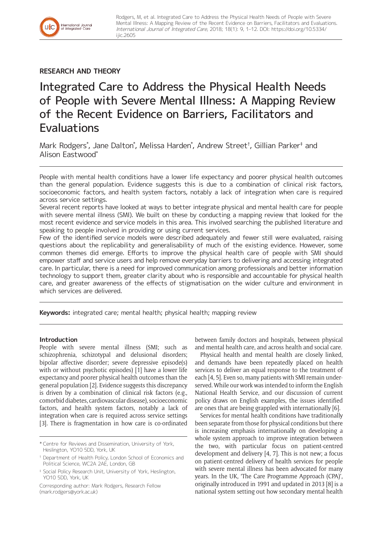### **RESEARCH AND THEORY**

International Journal<br>of Integrated Care

# Integrated Care to Address the Physical Health Needs of People with Severe Mental Illness: A Mapping Review of the Recent Evidence on Barriers, Facilitators and **Evaluations**

Mark Rodgers\* , Jane Dalton\* , Melissa Harden\* , Andrew Street† , Gillian Parker‡ and Alison Eastwood\*

People with mental health conditions have a lower life expectancy and poorer physical health outcomes than the general population. Evidence suggests this is due to a combination of clinical risk factors, socioeconomic factors, and health system factors, notably a lack of integration when care is required across service settings.

Several recent reports have looked at ways to better integrate physical and mental health care for people with severe mental illness (SMI). We built on these by conducting a mapping review that looked for the most recent evidence and service models in this area. This involved searching the published literature and speaking to people involved in providing or using current services.

Few of the identified service models were described adequately and fewer still were evaluated, raising questions about the replicability and generalisability of much of the existing evidence. However, some common themes did emerge. Efforts to improve the physical health care of people with SMI should empower staff and service users and help remove everyday barriers to delivering and accessing integrated care. In particular, there is a need for improved communication among professionals and better information technology to support them, greater clarity about who is responsible and accountable for physical health care, and greater awareness of the effects of stigmatisation on the wider culture and environment in which services are delivered.

**Keywords:** integrated care; mental health; physical health; mapping review

#### **Introduction**

People with severe mental illness (SMI; such as schizophrenia, schizotypal and delusional disorders; bipolar affective disorder; severe depressive episode(s) with or without psychotic episodes) [1] have a lower life expectancy and poorer physical health outcomes than the general population [2]. Evidence suggests this discrepancy is driven by a combination of clinical risk factors (e.g., comorbid diabetes, cardiovascular disease), socioeconomic factors, and health system factors, notably a lack of integration when care is required across service settings [3]. There is fragmentation in how care is co-ordinated between family doctors and hospitals, between physical and mental health care, and across health and social care.

Physical health and mental health are closely linked, and demands have been repeatedly placed on health services to deliver an equal response to the treatment of each [4, 5]. Even so, many patients with SMI remain underserved. While our work was intended to inform the English National Health Service, and our discussion of current policy draws on English examples, the issues identified are ones that are being grappled with internationally [6].

Services for mental health conditions have traditionally been separate from those for physical conditions but there is increasing emphasis internationally on developing a whole system approach to improve integration between the two, with particular focus on patient-centred development and delivery [4, 7]. This is not new; a focus on patient-centred delivery of health services for people with severe mental illness has been advocated for many years. In the UK, 'The Care Programme Approach (CPA)', originally introduced in 1991 and updated in 2013 [8] is a national system setting out how secondary mental health

<sup>\*</sup> Centre for Reviews and Dissemination, University of York, Heslington, YO10 5DD, York, UK

<sup>†</sup> Department of Health Policy, London School of Economics and Political Science, WC2A 2AE, London, GB

<sup>‡</sup> Social Policy Research Unit, University of York, Heslington, YO10 5DD, York, UK

Corresponding author: Mark Rodgers, Research Fellow [\(mark.rodgers@york.ac.uk](mailto:mark.rodgers@york.ac.uk))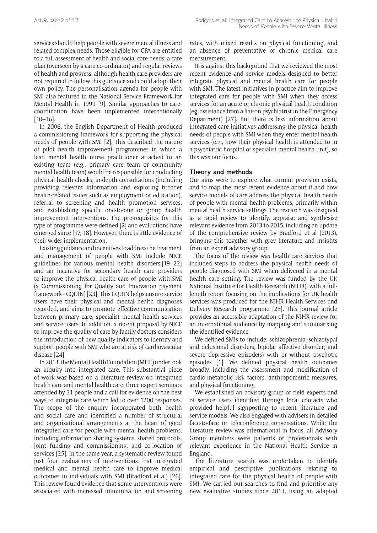services should help people with severe mental illness and related complex needs. Those eligible for CPA are entitled to a full assessment of health and social care needs, a care plan (overseen by a care co-ordinator) and regular reviews of health and progress, although health care providers are not required to follow this guidance and could adopt their own policy. The personalisation agenda for people with SMI also featured in the National Service Framework for Mental Health in 1999 [9]. Similar approaches to carecoordination have been implemented internationally [10–16].

In 2006, the English Department of Health produced a commissioning framework for supporting the physical needs of people with SMI [2]. This described the nature of pilot health improvement programmes in which a lead mental health nurse practitioner attached to an existing team (e.g., primary care team or community mental health team) would be responsible for conducting physical health checks, in-depth consultations (including providing relevant information and exploring broader health-related issues such as employment or education), referral to screening and health promotion services, and establishing specific one-to-one or group health improvement interventions. The pre-requisites for this type of programme were defined [2] and evaluations have emerged since [17, 18]. However, there is little evidence of their wider implementation.

Existing guidance and incentives to address the treatment and management of people with SMI include NICE guidelines for various mental health disorders,[19–22] and an incentive for secondary health care providers to improve the physical health care of people with SMI (a Commissioning for Quality and Innovation payment framework - CQUIN) [23]. This CQUIN helps ensure service users have their physical and mental health diagnoses recorded, and aims to promote effective communication between primary care, specialist mental health services and service users. In addition, a recent proposal by NICE to improve the quality of care by family doctors considers the introduction of new quality indicators to identify and support people with SMI who are at risk of cardiovascular disease [24].

In 2013, the Mental Health Foundation (MHF) undertook an inquiry into integrated care. This substantial piece of work was based on a literature review on integrated health care and mental health care, three expert seminars attended by 31 people and a call for evidence on the best ways to integrate care which led to over 1200 responses. The scope of the enquiry incorporated both health and social care and identified a number of structural and organizational arrangements at the heart of good integrated care for people with mental health problems, including information sharing systems, shared protocols, joint funding and commissioning, and co-location of services [25]. In the same year, a systematic review found just four evaluations of interventions that integrated medical and mental health care to improve medical outcomes in individuals with SMI (Bradford et al) [26]. This review found evidence that some interventions were associated with increased immunisation and screening

rates, with mixed results on physical functioning, and an absence of preventative or chronic medical care measurement.

It is against this background that we reviewed the most recent evidence and service models designed to better integrate physical and mental health care for people with SMI. The latest initiatives in practice aim to improve integrated care for people with SMI when they access services for an acute or chronic physical health condition (eg, assistance from a liaison psychiatrist in the Emergency Department) [27]. But there is less information about integrated care initiatives addressing the physical health needs of people with SMI when they enter mental health services (e.g., how their physical health is attended to in a psychiatric hospital or specialist mental health unit), so this was our focus.

#### **Theory and methods**

Our aims were to explore what current provision exists, and to map the most recent evidence about if and how service models of care address the physical health needs of people with mental health problems, primarily within mental health service settings. The research was designed as a rapid review to identify, appraise and synthesise relevant evidence from 2013 to 2015, including an update of the comprehensive review by Bradford et al (2013), bringing this together with grey literature and insights from an expert advisory group.

The focus of the review was health care services that included steps to address the physical health needs of people diagnosed with SMI when delivered in a mental health care setting. The review was funded by the UK National Institute for Health Research (NIHR), with a fulllength report focusing on the implications for UK health services was produced for the NIHR Health Services and Delivery Research programme [28]. This journal article provides an accessible adaptation of the NIHR review for an international audience by mapping and summarising the identified evidence.

We defined SMIs to include: schizophrenia, schizotypal and delusional disorders; bipolar affective disorder; and severe depressive episode(s) with or without psychotic episodes [1]. We defined physical health outcomes broadly, including the assessment and modification of cardio-metabolic risk factors, anthropometric measures, and physical functioning.

We established an advisory group of field experts and of service users identified through local contacts who provided helpful signposting to recent literature and service models. We also engaged with advisers in detailed face-to-face or teleconference conversations. While the literature review was international in focus, all Advisory Group members were patients or professionals with relevant experience in the National Health Service in England.

The literature search was undertaken to identify empirical and descriptive publications relating to integrated care for the physical health of people with SMI. We carried out searches to find and prioritise any new evaluative studies since 2013, using an adapted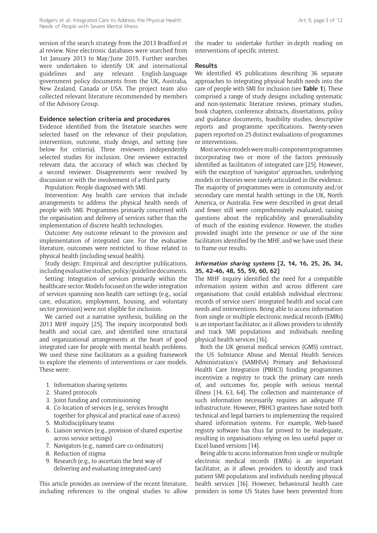version of the search strategy from the 2013 Bradford et al review. Nine electronic databases were searched from 1st January 2013 to May/June 2015. Further searches were undertaken to identify UK and international guidelines and any relevant English-language government policy documents from the UK, Australia, New Zealand, Canada or USA. The project team also collected relevant literature recommended by members of the Advisory Group.

#### **Evidence selection criteria and procedures**

Evidence identified from the literature searches were selected based on the relevance of their population, intervention, outcome, study design, and setting (see below for critieria). Three reviewers independently selected studies for inclusion. One reviewer extracted relevant data, the accuracy of which was checked by a second reviewer. Disagreements were resolved by discussion or with the involvement of a third party.

Population: People diagnosed with SMI.

Intervention: Any health care services that include arrangements to address the physical health needs of people with SMI. Programmes primarily concerned with the organisation and delivery of services rather than the implementation of discrete health technologies.

Outcome: Any outcome relevant to the provision and implementation of integrated care. For the evaluative literature, outcomes were restricted to those related to physical health (including sexual health).

Study design: Empirical and descriptive publications, including evaluative studies; policy/guideline documents.

Setting: Integration of services primarily within the healthcare sector. Models focused on the wider integration of services spanning non-health care settings (e.g., social care, education, employment, housing, and voluntary sector provision) were not eligible for inclusion.

We carried out a narrative synthesis, building on the 2013 MHF inquiry [25]. The inquiry incorporated both health and social care, and identified nine structural and organizational arrangements at the heart of good integrated care for people with mental health problems. We used these nine facilitators as a guiding framework to explore the elements of interventions or care models. These were:

- 1. Information sharing systems
- 2. Shared protocols
- 3. Joint funding and commissioning
- 4. Co-location of services (e.g., services brought together for physical and practical ease of access)
- 5. Multidisciplinary teams
- 6. Liaison services (e.g., provision of shared expertise across service settings)
- 7. Navigators (e.g., named care co-ordinators)
- 8. Reduction of stigma
- 9. Research (e.g., to ascertain the best way of delivering and evaluating integrated care)

This article provides an overview of the recent literature, including references to the original studies to allow the reader to undertake further in-depth reading on interventions of specific interest.

#### **Results**

We identified 45 publications describing 36 separate approaches to integrating physical health needs into the care of people with SMI for inclusion (see **Table 1**). These comprised a range of study designs including systematic and non-systematic literature reviews, primary studies, book chapters, conference abstracts, dissertations, policy and guidance documents, feasibility studies, descriptive reports and programme specifications. Twenty-seven papers reported on 25 distinct evaluations of programmes or interventions.

Most service models were multi-component programmes incorporating two or more of the factors previously identified as facilitators of integrated care [25]. However, with the exception of 'navigator' approaches, underlying models or theories were rarely articulated in the evidence. The majority of programmes were in community and/or secondary care mental health settings in the UK, North America, or Australia. Few were described in great detail and fewer still were comprehensively evaluated, raising questions about the replicability and generalisability of much of the existing evidence. However, the studies provided insight into the presence or use of the nine facilitators identified by the MHF, and we have used these to frame our results.

#### **Information sharing systems [2, 14, 16, 25, 26, 34, 35, 42–46, 48, 55, 59, 60, 62]**

The MHF inquiry identified the need for a compatible information system within and across different care organisations that could establish individual electronic records of service users' integrated health and social care needs and interventions. Being able to access information from single or multiple electronic medical records (EMRs) is an important facilitator, as it allows providers to identify and track SMI populations and individuals needing physical health services [16].

Both the UK general medical services (GMS) contract, the US Substance Abuse and Mental Health Services Administration's (SAMHSA) Primary and Behavioural Health Care Integration (PBHCI) funding programmes incentivize a registry to track the primary care needs of, and outcomes for, people with serious mental illness [14, 63, 64]. The collection and maintenance of such information necessarily requires an adequate IT infrastructure. However, PBHCI grantees have noted both technical and legal barriers to implementing the required shared information systems. For example, Web-based registry software has thus far proved to be inadequate, resulting in organisations relying on less useful paper or Excel-based versions [14].

Being able to access information from single or multiple electronic medical records (EMRs) is an important facilitator, as it allows providers to identify and track patient SMI populations and individuals needing physical health services [16]. However, behavioural health care providers in some US States have been prevented from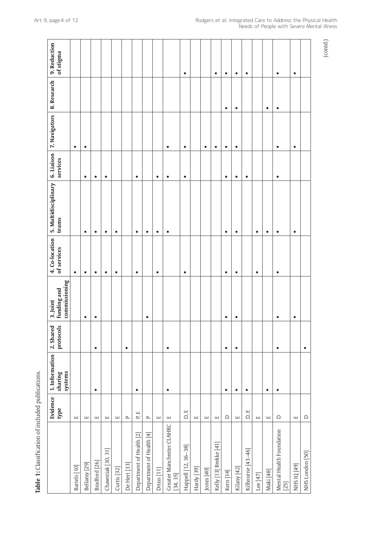|                                       | Evidence<br>type                         | 1. Information<br>systems<br>sharing | protocols<br>2. Shared | commissioning<br>funding and<br>3. Joint | 4. Co-location<br>of services | 5. Multidisciplinary<br>teams | 6. Liaison<br>services | 7. Navigators | 8. Research | 9. Reduction<br>of stigma |  |
|---------------------------------------|------------------------------------------|--------------------------------------|------------------------|------------------------------------------|-------------------------------|-------------------------------|------------------------|---------------|-------------|---------------------------|--|
| Bartels [10]                          | $\sqcup$                                 |                                      |                        |                                          | $\bullet$                     |                               |                        | $\bullet$     |             |                           |  |
| Bellamy [29]                          | $\sqcup$                                 |                                      |                        | $\bullet$                                | $\bullet$                     | $\bullet$                     | $\bullet$              | $\bullet$     |             |                           |  |
| Bradford [26]                         | $\Box$                                   | $\bullet$                            | $\bullet$              | ٠                                        | $\bullet$                     | $\bullet$                     | $\bullet$              |               |             |                           |  |
| Chawstiak [30, 31]                    | $\Box$                                   |                                      |                        |                                          | ٠                             | $\bullet$                     | $\bullet$              |               |             |                           |  |
| Curtis <sup>[32]</sup>                | $\Box$                                   |                                      |                        |                                          | $\bullet$                     | $\bullet$                     |                        |               |             |                           |  |
| De Hert [33]                          | $\mathbf{r}$                             |                                      | $\bullet$              |                                          |                               |                               |                        |               |             |                           |  |
| Department of Health [2]              | $\overline{\phantom{a}}$<br>$\mathbf{r}$ | $\bullet$                            |                        |                                          | $\bullet$                     | $\bullet$                     | $\bullet$              |               |             |                           |  |
| Department of Health [4]              | $\mathbf{r}$                             |                                      |                        | $\bullet$                                |                               | $\bullet$                     |                        |               |             |                           |  |
| Druss [11]                            | $\ensuremath{\mathop{\boxplus}}$         |                                      |                        |                                          | $\bullet$                     | $\bullet$                     | $\bullet$              |               |             |                           |  |
| Greater Manchester CLAHRC<br>[34, 35] | $\sqcup$                                 | ٠                                    | ٠                      |                                          |                               | $\bullet$                     | $\bullet$              | ٠             |             |                           |  |
| Happell [12, 36-38]                   | D, E                                     |                                      |                        |                                          | $\bullet$                     |                               | $\bullet$              | $\bullet$     |             | $\bullet$                 |  |
| Hardy [39]                            | $\Box$                                   |                                      |                        |                                          |                               |                               |                        |               |             |                           |  |
| Jones [40]                            | $\Box$                                   |                                      |                        |                                          |                               |                               |                        | ٠             |             |                           |  |
| Kelly [13] Brekke [41]                | $\Box$                                   |                                      |                        |                                          |                               |                               |                        | $\bullet$     |             | $\bullet$                 |  |
| Kern [14]                             | $\hfill \Box$                            | $\bullet$                            | $\bullet$              | $\bullet$                                | $\bullet$                     | $\bullet$                     | $\bullet$              | $\bullet$     | $\bullet$   | $\bullet$                 |  |
| Kilany [42]                           | $\Box$                                   | ٠                                    | ٠                      | ٠                                        | ٠                             | $\bullet$                     | $\bullet$              | ٠             | $\bullet$   | $\bullet$                 |  |
| Kilbourne [43-46]                     | $\overline{\phantom{a}}$<br>$\Box$       | $\bullet$                            |                        |                                          |                               |                               | $\bullet$              |               |             | $\bullet$                 |  |
| Lee [47]                              | $\Box$                                   |                                      |                        |                                          | ٠                             | $\bullet$                     |                        |               |             |                           |  |
| Maki [48]                             | $\Box$                                   | $\bullet$                            |                        |                                          |                               | $\bullet$                     |                        |               | $\bullet$   |                           |  |
| Mental Health Foundation<br>[25]      | $\Box$                                   | $\bullet$                            | $\bullet$              | ٠                                        | $\bullet$                     | $\bullet$                     | $\bullet$              | $\bullet$     | $\bullet$   | $\bullet$                 |  |
| NHS IQ [49]                           | $\Box$                                   |                                      |                        | $\bullet$                                |                               | $\bullet$                     |                        | ٠             |             | $\bullet$                 |  |
| NHS London [50]                       | $\Box$                                   |                                      | ٠                      |                                          |                               |                               |                        |               |             |                           |  |
|                                       |                                          |                                      |                        |                                          |                               |                               |                        |               |             |                           |  |



(contd.)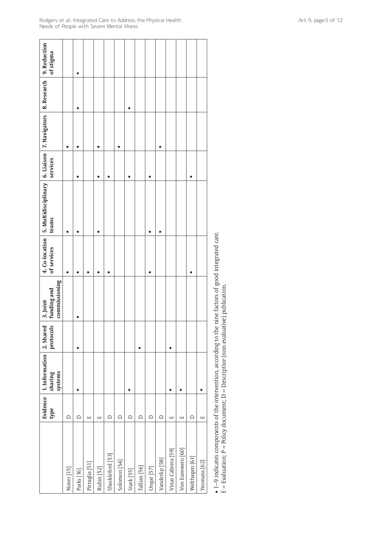|                    | type                  | Evidence   1. Information   2. Shared<br>systems<br>sharing | protocols | commissioning<br>funding and<br>3. Joint | of services | 4. Co-location   5. Multidisciplinary   6. Liaison   7. Navigators   8. Research   9. Reduction<br>teams | services |  | of stigma |
|--------------------|-----------------------|-------------------------------------------------------------|-----------|------------------------------------------|-------------|----------------------------------------------------------------------------------------------------------|----------|--|-----------|
| Nover [15]         | $\Box$                |                                                             |           |                                          |             |                                                                                                          |          |  |           |
| Parks [16]         | ≏                     | $\bullet$                                                   | $\bullet$ |                                          |             |                                                                                                          |          |  |           |
| Pirraglia [51]     | $\Box$                |                                                             |           |                                          |             |                                                                                                          |          |  |           |
| Rubin [52]         | $\boxed{\phantom{1}}$ |                                                             |           |                                          |             |                                                                                                          |          |  |           |
| Shackleford [53]   | $\Box$                |                                                             |           |                                          |             |                                                                                                          |          |  |           |
| Solomon [54]       | ≏                     |                                                             |           |                                          |             |                                                                                                          |          |  |           |
| Stark [55]         | $\Box$                |                                                             |           |                                          |             |                                                                                                          |          |  |           |
| Tallian [56]       | ≏                     |                                                             |           |                                          |             |                                                                                                          |          |  |           |
| Ungar [57]         | ≏                     |                                                             |           |                                          |             |                                                                                                          |          |  |           |
| Vanderlip [58]     | ≏                     |                                                             |           |                                          |             |                                                                                                          |          |  |           |
| Vinas Cabrera [59] | $\Box$                |                                                             |           |                                          |             |                                                                                                          |          |  |           |
| Von Esenwein [60]  | Щ                     |                                                             |           |                                          |             |                                                                                                          |          |  |           |
| Welthagen [61]     | ≏                     |                                                             |           |                                          |             |                                                                                                          |          |  |           |
| Yeomans [62]       | Щ                     |                                                             |           |                                          |             |                                                                                                          |          |  |           |
|                    |                       |                                                             |           |                                          |             |                                                                                                          |          |  |           |

• 1–9 indicates components of the intervention, according to the nine factors of good integrated care.<br>E = Evaluation; P = Policy document; D = Descriptive (non-evaluative) publication. • 1–9 indicates components of the intervention, according to the nine factors of good integrated care.

E = Evaluation; P = Policy document; D = Descriptive (non-evaluative) publication.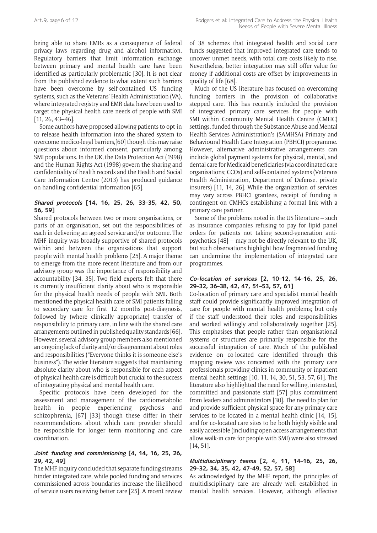being able to share EMRs as a consequence of federal privacy laws regarding drug and alcohol information. Regulatory barriers that limit information exchange between primary and mental health care have been identified as particularly problematic [30]. It is not clear from the published evidence to what extent such barriers have been overcome by self-contained US funding systems, such as the Veterans' Health Administration (VA), where integrated registry and EMR data have been used to target the physical health care needs of people with SMI [11, 26, 43–46].

Some authors have proposed allowing patients to opt-in to release health information into the shared system to overcome medico-legal barriers,[60] though this may raise questions about informed consent, particularly among SMI populations. In the UK, the Data Protection Act (1998) and the Human Rights Act (1998) govern the sharing and confidentiality of health records and the Health and Social Care Information Centre (2013) has produced guidance on handling confidential information [65].

#### **Shared protocols [14, 16, 25, 26, 33–35, 42, 50, 56, 59]**

Shared protocols between two or more organisations, or parts of an organisation, set out the responsibilities of each in delivering an agreed service and/or outcome. The MHF inquiry was broadly supportive of shared protocols within and between the organisations that support people with mental health problems [25]. A major theme to emerge from the more recent literature and from our advisory group was the importance of responsibility and accountability [34, 35]. Two field experts felt that there is currently insufficient clarity about who is responsible for the physical health needs of people with SMI. Both mentioned the physical health care of SMI patients falling to secondary care for first 12 months post-diagnosis, followed by (where clinically appropriate) transfer of responsibility to primary care, in line with the shared care arrangements outlined in published quality standards [66]. However, several advisory group members also mentioned an ongoing lack of clarity and/or disagreement about roles and responsibilities ("Everyone thinks it is someone else's business"). The wider literature suggests that maintaining absolute clarity about who is responsible for each aspect of physical health care is difficult but crucial to the success of integrating physical and mental health care.

Specific protocols have been developed for the assessment and management of the cardiometabolic health in people experiencing psychosis and schizophrenia, [67] [33] though these differ in their recommendations about which care provider should be responsible for longer term monitoring and care coordination.

#### **Joint funding and commissioning [4, 14, 16, 25, 26, 29, 42, 49]**

The MHF inquiry concluded that separate funding streams hinder integrated care, while pooled funding and services commissioned across boundaries increase the likelihood of service users receiving better care [25]. A recent review of 38 schemes that integrated health and social care funds suggested that improved integrated care tends to uncover unmet needs, with total care costs likely to rise. Nevertheless, better integration may still offer value for money if additional costs are offset by improvements in quality of life [68].

Much of the US literature has focused on overcoming funding barriers in the provision of collaborative stepped care. This has recently included the provision of integrated primary care services for people with SMI within Community Mental Health Centre (CMHC) settings, funded through the Substance Abuse and Mental Health Services Administration's (SAMHSA) Primary and Behavioural Health Care Integration (PBHCI) programme. However, alternative administrative arrangements can include global payment systems for physical, mental, and dental care for Medicaid beneficiaries (via coordinated care organisations; CCOs) and self-contained systems (Veterans Health Administration, Department of Defense, private insurers) [11, 14, 26]. While the organization of services may vary across PBHCI grantees, receipt of funding is contingent on CMHCs establishing a formal link with a primary care partner.

Some of the problems noted in the US literature – such as insurance companies refusing to pay for lipid panel orders for patients not taking second-generation antipsychotics [48] – may not be directly relevant to the UK, but such observations highlight how fragmented funding can undermine the implementation of integrated care programmes.

#### **Co-location of services [2, 10–12, 14–16, 25, 26, 29–32, 36–38, 42, 47, 51–53, 57, 61]**

Co-location of primary care and specialist mental health staff could provide significantly improved integration of care for people with mental health problems; but only if the staff understood their roles and responsibilities and worked willingly and collaboratively together [25]. This emphasises that people rather than organisational systems or structures are primarily responsible for the successful integration of care. Much of the published evidence on co-located care identified through this mapping review was concerned with the primary care professionals providing clinics in community or inpatient mental health settings [10, 11, 14, 30, 51, 53, 57, 61]. The literature also highlighted the need for willing, interested, committed and passionate staff [57] plus commitment from leaders and administrators [30]. The need to plan for and provide sufficient physical space for any primary care services to be located in a mental health clinic [14, 15]. and for co-located care sites to be both highly visible and easily accessible (including open access arrangements that allow walk-in care for people with SMI) were also stressed [14, 51].

#### **Multidisciplinary teams [2, 4, 11, 14–16, 25, 26, 29–32, 34, 35, 42, 47–49, 52, 57, 58]**

As acknowledged by the MHF report, the principles of multidisciplinary care are already well established in mental health services. However, although effective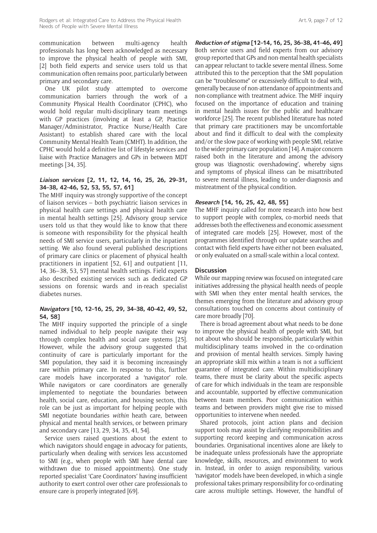communication between multi-agency health professionals has long been acknowledged as necessary to improve the physical health of people with SMI, [2] both field experts and service users told us that communication often remains poor, particularly between primary and secondary care.

One UK pilot study attempted to overcome communication barriers through the work of a Community Physical Health Coordinator (CPHC), who would hold regular multi-disciplinary team meetings with GP practices (involving at least a GP, Practice Manager/Administrator, Practice Nurse/Health Care Assistant) to establish shared care with the local Community Mental Health Team (CMHT). In addition, the CPHC would hold a definitive list of lifestyle services and liaise with Practice Managers and GPs in between MDT meetings [34, 35].

#### **Liaison services [2, 11, 12, 14, 16, 25, 26, 29–31, 34–38, 42–46, 52, 53, 55, 57, 61]**

The MHF inquiry was strongly supportive of the concept of liaison services – both psychiatric liaison services in physical health care settings and physical health care in mental health settings [25]. Advisory group service users told us that they would like to know that there is someone with responsibility for the physical health needs of SMI service users, particularly in the inpatient setting. We also found several published descriptions of primary care clinics or placement of physical health practitioners in inpatient [52, 61] and outpatient [11, 14, 36–38, 53, 57] mental health settings. Field experts also described existing services such as dedicated GP sessions on forensic wards and in-reach specialist diabetes nurses.

#### **Navigators [10, 12–16, 25, 29, 34–38, 40–42, 49, 52, 54, 58]**

The MHF inquiry supported the principle of a single named individual to help people navigate their way through complex health and social care systems [25]. However, while the advisory group suggested that continuity of care is particularly important for the SMI population, they said it is becoming increasingly rare within primary care. In response to this, further care models have incorporated a 'navigator' role. While navigators or care coordinators are generally implemented to negotiate the boundaries between health, social care, education, and housing sectors, this role can be just as important for helping people with SMI negotiate boundaries *within* heath care, between physical and mental health services, or between primary and secondary care [13, 29, 34, 35, 41, 54].

Service users raised questions about the extent to which navigators should engage in advocacy for patients, particularly when dealing with services less accustomed to SMI (e.g., when people with SMI have dental care withdrawn due to missed appointments). One study reported specialist 'Care Coordinators' having insufficient authority to exert control over other care professionals to ensure care is properly integrated [69].

**Reduction of stigma [12–14, 16, 25, 36–38, 41–46, 49]** Both service users and field experts from our advisory group reported that GPs and non-mental health specialists can appear reluctant to tackle severe mental illness. Some attributed this to the perception that the SMI population can be "troublesome" or excessively difficult to deal with, generally because of non-attendance of appointments and non-compliance with treatment advice. The MHF inquiry focused on the importance of education and training in mental health issues for the public and healthcare workforce [25]. The recent published literature has noted that primary care practitioners may be uncomfortable about and find it difficult to deal with the complexity and/or the slow pace of working with people SMI, relative to the wider primary care population [14]. A major concern raised both in the literature and among the advisory group was 'diagnostic overshadowing', whereby signs and symptoms of physical illness can be misattributed to severe mental illness, leading to under-diagnosis and mistreatment of the physical condition.

#### **Research [14, 16, 25, 42, 48, 55]**

The MHF inquiry called for more research into how best to support people with complex, co-morbid needs that addresses both the effectiveness and economic assessment of integrated care models [25]. However, most of the programmes identified through our update searches and contact with field experts have either not been evaluated, or only evaluated on a small-scale within a local context.

#### **Discussion**

While our mapping review was focused on integrated care initiatives addressing the physical health needs of people with SMI when they enter mental health services, the themes emerging from the literature and advisory group consultations touched on concerns about continuity of care more broadly [70].

There is broad agreement about what needs to be done to improve the physical health of people with SMI, but not about who should be responsible, particularly within multidisciplinary teams involved in the co-ordination and provision of mental health services. Simply having an appropriate skill mix within a team is not a sufficient guarantee of integrated care. Within multidisciplinary teams, there must be clarity about the specific aspects of care for which individuals in the team are responsible and accountable, supported by effective communication between team members. Poor communication within teams and between providers might give rise to missed opportunities to intervene when needed.

Shared protocols, joint action plans and decision support tools may assist by clarifying responsibilities and supporting record keeping and communication across boundaries. Organisational incentives alone are likely to be inadequate unless professionals have the appropriate knowledge, skills, resources, and environment to work in. Instead, in order to assign responsibility, various 'navigator' models have been developed, in which a single professional takes primary responsibility for co-ordinating care across multiple settings. However, the handful of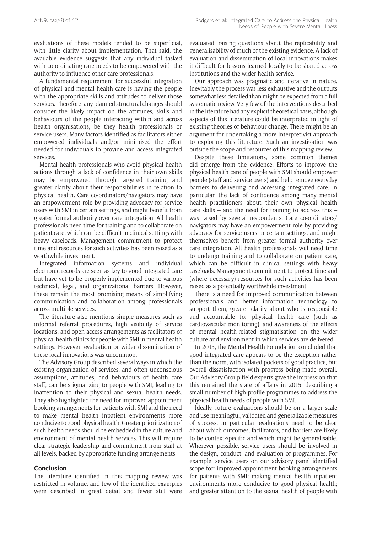evaluations of these models tended to be superficial, with little clarity about implementation. That said, the available evidence suggests that any individual tasked with co-ordinating care needs to be empowered with the authority to influence other care professionals.

A fundamental requirement for successful integration of physical and mental health care is having the people with the appropriate skills and attitudes to deliver those services. Therefore, any planned structural changes should consider the likely impact on the attitudes, skills and behaviours of the people interacting within and across health organisations, be they health professionals or service users. Many factors identified as facilitators either empowered individuals and/or minimised the effort needed for individuals to provide and access integrated services.

Mental health professionals who avoid physical health actions through a lack of confidence in their own skills may be empowered through targeted training and greater clarity about their responsibilities in relation to physical health. Care co-ordinators/navigators may have an empowerment role by providing advocacy for service users with SMI in certain settings, and might benefit from greater formal authority over care integration. All health professionals need time for training and to collaborate on patient care, which can be difficult in clinical settings with heavy caseloads. Management commitment to protect time and resources for such activities has been raised as a worthwhile investment.

Integrated information systems and individual electronic records are seen as key to good integrated care but have yet to be properly implemented due to various technical, legal, and organizational barriers. However, these remain the most promising means of simplifying communication and collaboration among professionals across multiple services.

The literature also mentions simple measures such as informal referral procedures, high visibility of service locations, and open access arrangements as facilitators of physical health clinics for people with SMI in mental health settings. However, evaluation or wider dissemination of these local innovations was uncommon.

The Advisory Group described several ways in which the existing organization of services, and often unconscious assumptions, attitudes, and behaviours of health care staff, can be stigmatizing to people with SMI, leading to inattention to their physical and sexual health needs. They also highlighted the need for improved appointment booking arrangements for patients with SMI and the need to make mental health inpatient environments more conducive to good physical health. Greater prioritization of such health needs should be embedded in the culture and environment of mental health services. This will require clear strategic leadership and commitment from staff at all levels, backed by appropriate funding arrangements.

#### **Conclusion**

The literature identified in this mapping review was restricted in volume, and few of the identified examples were described in great detail and fewer still were evaluated, raising questions about the replicability and generalisability of much of the existing evidence. A lack of evaluation and dissemination of local innovations makes it difficult for lessons learned locally to be shared across institutions and the wider health service.

Our approach was pragmatic and iterative in nature. Inevitably the process was less exhaustive and the outputs somewhat less detailed than might be expected from a full systematic review. Very few of the interventions described in the literature had any explicit theoretical basis, although aspects of this literature could be interpreted in light of existing theories of behaviour change. There might be an argument for undertaking a more interpretivist approach to exploring this literature. Such an investigation was outside the scope and resources of this mapping review.

Despite these limitations, some common themes did emerge from the evidence. Efforts to improve the physical health care of people with SMI should empower people (staff and service users) and help remove everyday barriers to delivering and accessing integrated care. In particular, the lack of confidence among many mental health practitioners about their own physical health care skills – and the need for training to address this – was raised by several respondents. Care co-ordinators/ navigators may have an empowerment role by providing advocacy for service users in certain settings, and might themselves benefit from greater formal authority over care integration. All health professionals will need time to undergo training and to collaborate on patient care, which can be difficult in clinical settings with heavy caseloads. Management commitment to protect time and (where necessary) resources for such activities has been raised as a potentially worthwhile investment.

There is a need for improved communication between professionals and better information technology to support them, greater clarity about who is responsible and accountable for physical health care (such as cardiovascular monitoring), and awareness of the effects of mental health-related stigmatisation on the wider culture and environment in which services are delivered.

In 2013, the Mental Health Foundation concluded that good integrated care appears to be the exception rather than the norm, with isolated pockets of good practice, but overall dissatisfaction with progress being made overall. Our Advisory Group field experts gave the impression that this remained the state of affairs in 2015, describing a small number of high-profile programmes to address the physical health needs of people with SMI.

Ideally, future evaluations should be on a larger scale and use meaningful, validated and generalizable measures of success. In particular, evaluations need to be clear about which outcomes, facilitators, and barriers are likely to be context-specific and which might be generalisable. Wherever possible, service users should be involved in the design, conduct, and evaluation of programmes. For example, service users on our advisory panel identified scope for: improved appointment booking arrangements for patients with SMI; making mental health inpatient environments more conducive to good physical health; and greater attention to the sexual health of people with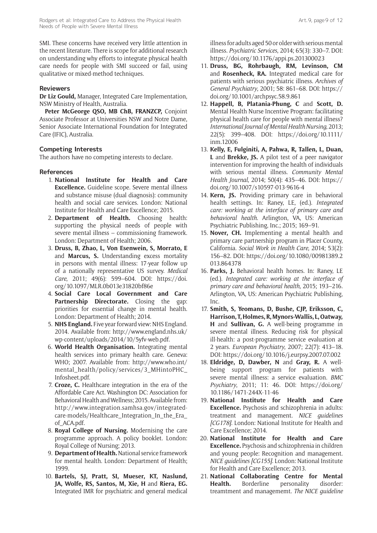SMI. These concerns have received very little attention in the recent literature. There is scope for additional research on understanding why efforts to integrate physical health care needs for people with SMI succeed or fail, using qualitative or mixed-method techniques.

#### **Reviewers**

**Dr Liz Gould,** Manager, Integrated Care Implementation, NSW Ministry of Health, Australia.

**Peter McGeorge QSO, MB ChB, FRANZCP,** Conjoint Associate Professor at Universities NSW and Notre Dame, Senior Associate International Foundation for Integrated Care (IFIC), Australia.

#### **Competing Interests**

The authors have no competing interests to declare.

#### **References**

- 1. **National Institute for Health and Care Excellence.** Guideline scope. Severe mental illness and substance misuse (dual diagnosis): community health and social care services. London: National Institute for Health and Care Excellence; 2015.
- 2. **Department of Health.** Choosing health: supporting the physical needs of people with severe mental illness – commissioning framework. London: Department of Health; 2006.
- 3. **Druss, B, Zhao, L, Von Esenwein, S, Morrato, E** and **Marcus, S.** Understanding excess mortality in persons with mental illness: 17-year follow up of a nationally representative US survey. *Medical Care*, 2011; 49(6): 599–604. DOI: [https://doi.](https://doi.org/10.1097/MLR.0b013e31820bf86e) [org/10.1097/MLR.0b013e31820bf86e](https://doi.org/10.1097/MLR.0b013e31820bf86e)
- 4. **Social Care Local Government and Care Partnership Directorate.** Closing the gap: priorities for essential change in mental health. London: Department of Health; 2014.
- 5. **NHS England.** Five year forward view: NHS England. 2014. Available from: [http://www.england.nhs.uk/](http://www.england.nhs.uk/wp-content/uploads/2014/10/5yfv-web.pdf) [wp-content/uploads/2014/10/5yfv-web.pdf](http://www.england.nhs.uk/wp-content/uploads/2014/10/5yfv-web.pdf).
- 6. **World Health Organisation.** Integrating mental health services into primary health care. Geneva: WHO; 2007. Available from: [http://www.who.int/](http://www.who.int/mental_health/policy/services/3_MHintoPHC_Infosheet.pdf) [mental\\_health/policy/services/3\\_MHintoPHC\\_](http://www.who.int/mental_health/policy/services/3_MHintoPHC_Infosheet.pdf) [Infosheet.pdf.](http://www.who.int/mental_health/policy/services/3_MHintoPHC_Infosheet.pdf)
- 7. **Croze, C.** Healthcare integration in the era of the Affordable Care Act. Washington DC: Association for Behavioral Health and Wellness; 2015. Available from: [http://www.integration.samhsa.gov/integrated](http://www.integration.samhsa.gov/integrated-care-models/Healthcare_Integration_In_the_Era_of_ACA.pdf)[care-models/Healthcare\\_Integration\\_In\\_the\\_Era\\_](http://www.integration.samhsa.gov/integrated-care-models/Healthcare_Integration_In_the_Era_of_ACA.pdf) [of\\_ACA.pdf](http://www.integration.samhsa.gov/integrated-care-models/Healthcare_Integration_In_the_Era_of_ACA.pdf).
- 8. **Royal College of Nursing.** Modernising the care programme approach. A policy booklet. London: Royal College of Nursing; 2013.
- 9. **Department of Health.** National service framework for mental health. London: Department of Health; 1999.
- 10. **Bartels, SJ, Pratt, SI, Mueser, KT, Naslund, JA, Wolfe, RS, Santos, M, Xie, H** and **Riera, EG.** Integrated IMR for psychiatric and general medical

illness for adults aged 50 or older with serious mental illness. *Psychiatric Services*, 2014; 65(3): 330–7. DOI: <https://doi.org/10.1176/appi.ps.201300023>

- 11. **Druss, BG, Rohrbaugh, RM, Levinson, CM** and **Rosenheck, RA.** Integrated medical care for patients with serious psychiatric illness. *Archives of General Psychiatry*, 2001; 58: 861–68. DOI: [https://](https://doi.org/10.1001/archpsyc.58.9.861) [doi.org/10.1001/archpsyc.58.9.861](https://doi.org/10.1001/archpsyc.58.9.861)
- 12. **Happell, B, Platania-Phung, C** and **Scott, D.** Mental Health Nurse Incentive Program: facilitating physical health care for people with mental illness? *International Journal of Mental Health Nursing*, 2013; 22(5): 399–408. DOI: [https://doi.org/10.1111/](https://doi.org/10.1111/inm.12006) [inm.12006](https://doi.org/10.1111/inm.12006)
- 13. **Kelly, E, Fulginiti, A, Pahwa, R, Tallen, L, Duan, L** and **Brekke, JS.** A pilot test of a peer navigator intervention for improving the health of individuals with serious mental illness. *Community Mental Health Journal*, 2014; 50(4): 435–46. DOI: [https://](https://doi.org/10.1007/s10597-013-9616-4) [doi.org/10.1007/s10597-013-9616-4](https://doi.org/10.1007/s10597-013-9616-4)
- 14. **Kern, JS.** Providing primary care in behavioral health settings. In: Raney, LE, (ed.). *Integrated care: working at the interface of primary care and behavioral health*. Arlington, VA, US: American Psychiatric Publishing, Inc.; 2015; 169–91.
- 15. **Nover, CH.** Implementing a mental health and primary care partnership program in Placer County, California. *Social Work in Health Care*, 2014; 53(2): 156–82. DOI: [https://doi.org/10.1080/00981389.2](https://doi.org/10.1080/00981389.2013.864378) [013.864378](https://doi.org/10.1080/00981389.2013.864378)
- 16. **Parks, J.** Behavioral health homes. In: Raney, LE (ed.). *Integrated care: working at the interface of primary care and behavioral health*, 2015; 193–216. Arlington, VA, US: American Psychiatric Publishing, Inc.
- 17. **Smith, S, Yeomans, D, Bushe, CJP, Eriksson, C, Harrison, T, Holmes, R, Mynors-Wallis, L, Oatway, H** and **Sullivan, G.** A well-being programme in severe mental illness. Reducing risk for physical ill-health: a post-programme service evaluation at 2 years. *European Psychiatry*, 2007; 22(7): 413–18. DOI: <https://doi.org/10.1016/j.eurpsy.2007.07.002>
- 18. **Eldridge, D, Dawber, N** and **Gray, R.** A wellbeing support program for patients with severe mental illness: a service evaluation. *BMC Psychiatry*, 2011; 11: 46. DOI: [https://doi.org/](https://doi.org/10.1186/1471-244X-11-46) [10.1186/1471-244X-11-46](https://doi.org/10.1186/1471-244X-11-46)
- 19. **National Institute for Health and Care Excellence.** Psychosis and schizophrenia in adults: treatment and management. *NICE guidelines [CG178]*. London: National Institute for Health and Care Excellence; 2014.
- 20. **National Institute for Health and Care Excellence.** Psychosis and schizophrenia in children and young people: Recognition and management. *NICE guidelines [CG155]*. London: National Institute for Health and Care Excellence; 2013.
- 21. **National Collaborating Centre for Mental**  Health. Borderline personality disorder: treamtment and managememt. *The NICE guideline*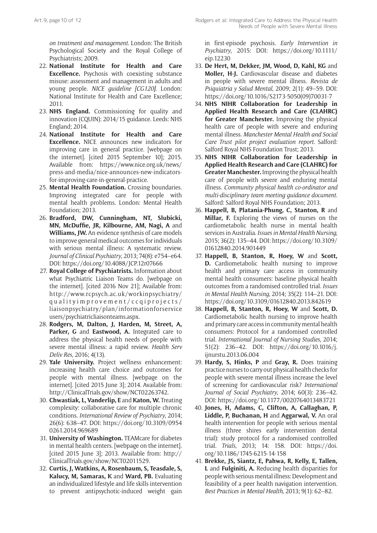*on treatment and management*. London: The British Psychological Society and the Royal College of Psychiatrists; 2009.

- 22. **National Institute for Health and Care Excellence.** Psychosis with coexisting substance misuse: assessment and management in adults and young people. *NICE guideline [CG120]*. London: National Institute for Health and Care Excellence; 2011.
- 23. **NHS England.** Commissioning for quality and innovation (CQUIN): 2014/15 guidance. Leeds: NHS England; 2014.
- 24. **National Institute for Health and Care Excellence.** NICE announces new indicators for improving care in general practice. [webpage on the internet]. [cited 2015 September 10]; 2015. Available from: [https://www.nice.org.uk/news/](https://www.nice.org.uk/news/press-and-media/nice-announces-new-indicators-for-improving-care-in-general-practice) [press-and-media/nice-announces-new-indicators](https://www.nice.org.uk/news/press-and-media/nice-announces-new-indicators-for-improving-care-in-general-practice)[for-improving-care-in-general-practice](https://www.nice.org.uk/news/press-and-media/nice-announces-new-indicators-for-improving-care-in-general-practice).
- 25. **Mental Health Foundation.** Crossing boundaries. Improving integrated care for people with mental health problems. London: Mental Health Foundation; 2013.
- 26. **Bradford, DW, Cunningham, NT, Slubicki, MN, McDuffie, JR, Kilbourne, AM, Nagi, A** and **Williams, JW.** An evidence synthesis of care models to improve general medical outcomes for individuals with serious mental illness: A systematic review. *Journal of Clinical Psychiatry*, 2013; 74(8): e754–e64. DOI: <https://doi.org/10.4088/JCP.12r07666>
- 27. **Royal College of Psychiatrists.** Information about what Psychiatric Liaison Teams do. [webpage on the internet]. [cited 2016 Nov 21]; Available from: [http://www.rcpsych.ac.uk/workinpsychiatry/](http://www.rcpsych.ac.uk/workinpsychiatry/qualityimprovement/ccqiprojects/liaisonpsychiatry/plan/informationforserviceusers/psychiatricliaisonteams.aspx) [qualityimprovement/ccqiprojects/](http://www.rcpsych.ac.uk/workinpsychiatry/qualityimprovement/ccqiprojects/liaisonpsychiatry/plan/informationforserviceusers/psychiatricliaisonteams.aspx) [liaisonpsychiatry/plan/informationforservice](http://www.rcpsych.ac.uk/workinpsychiatry/qualityimprovement/ccqiprojects/liaisonpsychiatry/plan/informationforserviceusers/psychiatricliaisonteams.aspx) [users/psychiatricliaisonteams.aspx.](http://www.rcpsych.ac.uk/workinpsychiatry/qualityimprovement/ccqiprojects/liaisonpsychiatry/plan/informationforserviceusers/psychiatricliaisonteams.aspx)
- 28. **Rodgers, M, Dalton, J, Harden, M, Street, A, Parker, G** and **Eastwood, A.** Integrated care to address the physical health needs of people with severe mental illness: a rapid review. *Health Serv Deliv Res*, 2016; 4(13).
- 29. **Yale University.** Project wellness enhancement: increasing health care choice and outcomes for people with mental illness. [webpage on the internet]. [cited 2015 June 3]: 2014. Available from: <http://ClinicalTrials.gov/show/NCT02263742>.
- 30. **Chwastiak, L, Vanderlip, E** and **Katon, W.** Treating complexity: collaborative care for multiple chronic conditions. *International Review of Psychiatry*, 2014; 26(6): 638–47. DOI: [https://doi.org/10.3109/0954](https://doi.org/10.3109/09540261.2014.969689) [0261.2014.969689](https://doi.org/10.3109/09540261.2014.969689)
- 31. **University of Washington.** TEAMcare for diabetes in mental health centers. [webpage on the internet]. [cited 2015 June 3]; 2013. Available from: [http://](http://ClinicalTrials.gov/show/NCT02011529) [ClinicalTrials.gov/show/NCT02011529.](http://ClinicalTrials.gov/show/NCT02011529)
- 32. **Curtis, J, Watkins, A, Rosenbaum, S, Teasdale, S, Kalucy, M, Samaras, K** and **Ward, PB.** Evaluating an individualized lifestyle and life skills intervention to prevent antipsychotic-induced weight gain

in first-episode psychosis. *Early Intervention in Psychiatry*, 2015: DOI: [https://doi.org/10.1111/](https://doi.org/10.1111/eip.12230) [eip.12230](https://doi.org/10.1111/eip.12230)

- 33. **De Hert, M, Dekker, JM, Wood, D, Kahl, KG** and **Moller, H-J.** Cardiovascular disease and diabetes in people with severe mental illness. *Revista de Psiquiatria y Salud Mental*, 2009; 2(1): 49–59. DOI: [https://doi.org/10.1016/S2173-5050\(09\)70031-7](https://doi.org/10.1016/S2173-5050(09)70031-7)
- 34. **NHS NIHR Collaboration for Leadership in Applied Health Research and Care (CLAHRC) for Greater Manchester.** Improving the physical health care of people with severe and enduring mental illness. *Manchester Mental Health and Social Care Trust pilot project evaluation report*. Salford: Salford Royal NHS Foundation Trust; 2013.
- 35. **NHS NIHR Collaboration for Leadership in Applied Health Research and Care (CLAHRC) for Greater Manchester.** Improving the physical health care of people with severe and enduring mental illness. *Community physical health co-ordinator and multi-disciplinary team meeting guidance document*. Salford: Salford Royal NHS Foundation; 2013.
- 36. **Happell, B, Platania-Phung, C, Stanton, R** and **Millar, F.** Exploring the views of nurses on the cardiometabolic health nurse in mental health services in Australia. *Issues in Mental Health Nursing*, 2015; 36(2): 135–44. DOI: [https://doi.org/10.3109/](https://doi.org/10.3109/01612840.2014.901449) [01612840.2014.901449](https://doi.org/10.3109/01612840.2014.901449)
- 37. **Happell, B, Stanton, R, Hoey, W** and **Scott, D.** Cardiometabolic health nursing to improve health and primary care access in community mental health consumers: baseline physical health outcomes from a randomised controlled trial. *Issues in Mental Health Nursing*, 2014; 35(2): 114–21. DOI: <https://doi.org/10.3109/01612840.2013.842619>
- 38. **Happell, B, Stanton, R, Hoey, W** and **Scott, D.** Cardiometabolic health nursing to improve health and primary care access in community mental health consumers: Protocol for a randomised controlled trial. *International Journal of Nursing Studies*, 2014; 51(2): 236–42. DOI: [https://doi.org/10.1016/j.](https://doi.org/10.1016/j.ijnurstu.2013.06.004) [ijnurstu.2013.06.004](https://doi.org/10.1016/j.ijnurstu.2013.06.004)
- 39. **Hardy, S, Hinks, P** and **Gray, R.** Does training practice nurses to carry out physical health checks for people with severe mental illness increase the level of screening for cardiovascular risk? *International Journal of Social Psychiatry*, 2014; 60(3): 236–42. DOI:<https://doi.org/10.1177/0020764013483721>
- 40. **Jones, H, Adams, C, Clifton, A, Callaghan, P, Liddle, P, Buchanan, H** and **Aggarwal, V.** An oral health intervention for people with serious mental illness (three shires early intervention dental trial): study protocol for a randomised controlled trial. *Trials*, 2013; 14: 158. DOI: [https://doi.](https://doi.org/10.1186/1745-6215-14-158) [org/10.1186/1745-6215-14-158](https://doi.org/10.1186/1745-6215-14-158)
- 41. **Brekke, JS, Siantz, E, Pahwa, R, Kelly, E, Tallen, L** and **Fulginiti, A.** Reducing health disparities for people with serious mental illness: Development and feasibility of a peer health navigation intervention. *Best Practices in Mental Health*, 2013; 9(1): 62–82.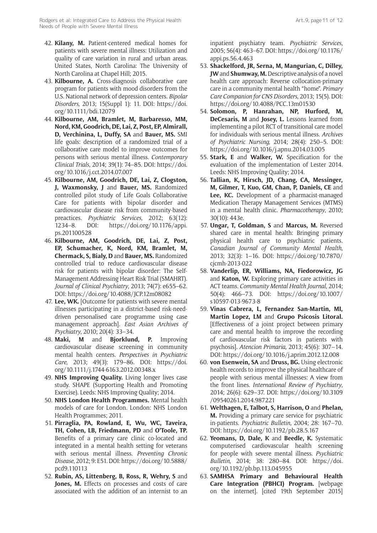- 42. **Kilany, M.** Patient-centered medical homes for patients with severe mental illness: Utilization and quality of care variation in rural and urban areas. United States, North Carolina: The University of North Carolina at Chapel Hill; 2015.
- 43. **Kilbourne, A.** Cross-diagnosis collaborative care program for patients with mood disorders from the U.S. National network of depression centers. *Bipolar Disorders*, 2013; 15(Suppl 1): 11. DOI: [https://doi.](https://doi.org/10.1111/bdi.12079) [org/10.1111/bdi.12079](https://doi.org/10.1111/bdi.12079)
- 44. **Kilbourne, AM, Bramlet, M, Barbaresso, MM, Nord, KM, Goodrich, DE, Lai, Z, Post, EP, Almirall, D, Verchinina, L, Duffy, SA** and **Bauer, MS.** SMI life goals: description of a randomized trial of a collaborative care model to improve outcomes for persons with serious mental illness. *Contemporary Clinical Trials*, 2014; 39(1): 74–85. DOI: [https://doi.](https://doi.org/10.1016/j.cct.2014.07.007) [org/10.1016/j.cct.2014.07.007](https://doi.org/10.1016/j.cct.2014.07.007)
- 45. **Kilbourne, AM, Goodrich, DE, Lai, Z, Clogston, J, Waxmonsky, J** and **Bauer, MS.** Randomized controlled pilot study of Life Goals Collaborative Care for patients with bipolar disorder and cardiovascular disease risk from community-based preactices. *Psychiatric Services*, 2012; 63(12): 1234–8. DOI: [https://doi.org/10.1176/appi.](https://doi.org/10.1176/appi.ps.201100528) [ps.201100528](https://doi.org/10.1176/appi.ps.201100528)
- 46. **Kilbourne, AM, Goodrich, DE, Lai, Z, Post, EP, Schumacher, K, Nord, KM, Bramlet, M, Chermack, S, Bialy, D** and **Bauer, MS.** Randomized controlled trial to reduce cardiovascular disease risk for patients with bipolar disorder: The Self-Management Addressing Heart Risk Trial (SMAHRT). *Journal of Clinical Psychiatry*, 2013; 74(7): e655–62. DOI:<https://doi.org/10.4088/JCP.12m08082>
- 47. **Lee, WK.** [Outcome for patients with severe mental illnesses participating in a district-based risk-needdriven personalised care programme using case management approach]. *East Asian Archives of Psychiatry*, 2010; 20(4): 33–34.
- 48. **Maki, M** and **Bjorklund, P.** Improving cardiovascular disease screening in community mental health centers. *Perspectives in Psychiatric Care*, 2013; 49(3): 179–86. DOI: [https://doi.](https://doi.org/10.1111/j.1744-6163.2012.00348.x) [org/10.1111/j.1744-6163.2012.00348.x](https://doi.org/10.1111/j.1744-6163.2012.00348.x)
- 49. **NHS Improving Quality.** Living longer lives case study. SHAPE (Supporting Health and Promoting Exercise). Leeds: NHS Improving Quality; 2014.
- 50. **NHS London Health Programmes.** Mental health models of care for London. London: NHS London Health Programmes; 2011.
- 51. **Pirraglia, PA, Rowland, E, Wu, WC, Taveira, TH, Cohen, LB, Friedmann, PD** and **O'Toole, TP.** Benefits of a primary care clinic co-located and integrated in a mental health setting for veterans with serious mental illness. *Preventing Chronic Disease*, 2012; 9: E51. DOI: [https://doi.org/10.5888/](https://doi.org/10.5888/pcd9.110113) [pcd9.110113](https://doi.org/10.5888/pcd9.110113)
- 52. **Rubin, AS, Littenberg, B, Ross, R, Wehry, S** and Jones, M. Effects on processes and costs of care associated with the addition of an internist to an

inpatient psychiatry team. *Psychiatric Services*, 2005; 56(4): 463–67. DOI: [https://doi.org/10.1176/](https://doi.org/10.1176/appi.ps.56.4.463) [appi.ps.56.4.463](https://doi.org/10.1176/appi.ps.56.4.463)

- 53. **Shackelford, JR, Serna, M, Mangurian, C, Dilley, JW** and **Shumway, M.** Descriptive analysis of a novel health care approach: Reverse collocation-primary care in a community mental health "home". *Primary Care Companion for CNS Disorders*, 2013; 15(5). DOI: <https://doi.org/10.4088/PCC.13m01530>
- 54. **Solomon, P, Hanrahan, NP, Hurford, M, DeCesaris, M** and **Josey, L.** Lessons learned from implementing a pilot RCT of transitional care model for individuals with serious mental illness. *Archives of Psychiatric Nursing*, 2014; 28(4): 250–5. DOI: <https://doi.org/10.1016/j.apnu.2014.03.005>
- 55. **Stark, E** and **Walker, W.** Specification for the evaluation of the implementation of Lester 2014. Leeds: NHS Improving Quality; 2014.
- 56. **Tallian, K, Hirsch, JD, Chang, CA, Messinger, M, Gilmer, T, Kuo, GM, Chan, P, Daniels, CE** and **Lee, KC.** Development of a pharmacist-managed Medication Therapy Management Services (MTMS) in a mental health clinic. *Pharmacotherapy*, 2010; 30(10): 443e.
- 57. **Ungar, T, Goldman, S** and **Marcus, M.** Reversed shared care in mental health: Bringing primary physical health care to psychiatric patients. *Canadian Journal of Community Mental Health*, 2013; 32(3): 1–16. DOI: [https://doi.org/10.7870/](https://doi.org/10.7870/cjcmh-2013-022) [cjcmh-2013-022](https://doi.org/10.7870/cjcmh-2013-022)
- 58. **Vanderlip, ER, Williams, NA, Fiedorowicz, JG** and **Katon, W.** Exploring primary care activities in ACT teams. *Community Mental Health Journal*, 2014; 50(4): 466–73. DOI: [https://doi.org/10.1007/](https://doi.org/10.1007/s10597-013-9673-8) [s10597-013-9673-8](https://doi.org/10.1007/s10597-013-9673-8)
- 59. **Vinas Cabrera, L, Fernandez San-Martin, MI, Martin Lopez, LM** and **Grupo Psicosis Litoral.** [Effectiveness of a joint project between primary care and mental health to improve the recording of cardiovascular risk factors in patients with psychosis]. *Atencion Primaria*, 2013; 45(6): 307–14. DOI: <https://doi.org/10.1016/j.aprim.2012.12.008>
- 60. **von Esenwein, SA** and **Druss, BG.** Using electronic health records to improve the physical healthcare of people with serious mental illnesses: A view from the front lines. *International Review of Psychiatry*, 2014; 26(6): 629–37. DOI: [https://doi.org/10.3109](https://doi.org/10.3109/09540261.2014.987221) [/09540261.2014.987221](https://doi.org/10.3109/09540261.2014.987221)
- 61. **Welthagen, E, Talbot, S, Harrison, O** and **Phelan, M.** Providing a primary care service for psychiatric in-patients. *Psychiatric Bulletin*, 2004; 28: 167–70. DOI: <https://doi.org/10.1192/pb.28.5.167>
- 62. **Yeomans, D, Dale, K** and **Beedle, K.** Systematic computerised cardiovascular health screening for people with severe mental illness. *Psychiatric Bulletin*, 2014; 38: 280–84. DOI: [https://doi.](https://doi.org/10.1192/pb.bp.113.045955) [org/10.1192/pb.bp.113.045955](https://doi.org/10.1192/pb.bp.113.045955)
- 63. **SAMHSA Primary and Behavioural Health Care Integration (PBHCI) Program.** [webpage on the internet]. [cited 19th September 2015]